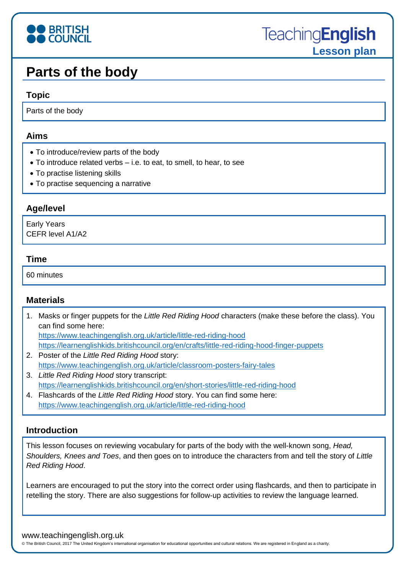# **O BRITISH**

## **Parts of the body**

#### **Topic**

Parts of the body

#### **Aims**

- To introduce/review parts of the body
- To introduce related verbs i.e. to eat, to smell, to hear, to see
- To practise listening skills
- To practise sequencing a narrative

#### **Age/level**

Early Years CEFR level A1/A2

#### **Time**

60 minutes

#### **Materials**

1. Masks or finger puppets for the *Little Red Riding Hood* characters (make these before the class). You can find some here:

<https://www.teachingenglish.org.uk/article/little-red-riding-hood> <https://learnenglishkids.britishcouncil.org/en/crafts/little-red-riding-hood-finger-puppets>

- 2. Poster of the *Little Red Riding Hood* story: <https://www.teachingenglish.org.uk/article/classroom-posters-fairy-tales>
- 3. *Little Red Riding Hood* story transcript: <https://learnenglishkids.britishcouncil.org/en/short-stories/little-red-riding-hood>
- 4. Flashcards of the *Little Red Riding Hood* story. You can find some here: <https://www.teachingenglish.org.uk/article/little-red-riding-hood>

#### **Introduction**

This lesson focuses on reviewing vocabulary for parts of the body with the well-known song, *Head, Shoulders, Knees and Toes*, and then goes on to introduce the characters from and tell the story of *Little Red Riding Hood*.

Learners are encouraged to put the story into the correct order using flashcards, and then to participate in retelling the story. There are also suggestions for follow-up activities to review the language learned.

#### www.teachingenglish.org.uk

© The British Council, 2017 The United Kingdom's international organisation for educational opportunities and cultural relations. We are registered in England as a charity.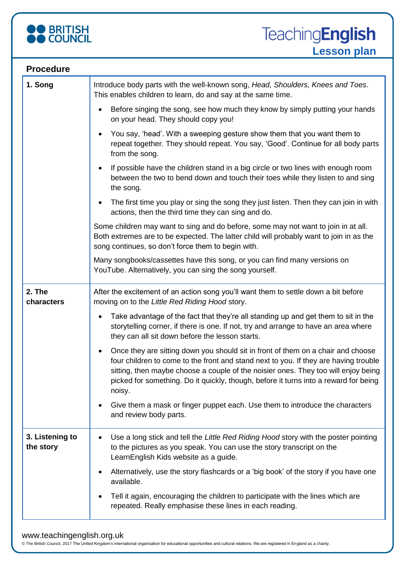

#### **Procedure**

| 1. Song                      | Introduce body parts with the well-known song, Head, Shoulders, Knees and Toes.<br>This enables children to learn, do and say at the same time.                                                                                                                                                                                                                               |
|------------------------------|-------------------------------------------------------------------------------------------------------------------------------------------------------------------------------------------------------------------------------------------------------------------------------------------------------------------------------------------------------------------------------|
|                              | Before singing the song, see how much they know by simply putting your hands<br>٠<br>on your head. They should copy you!                                                                                                                                                                                                                                                      |
|                              | You say, 'head'. With a sweeping gesture show them that you want them to<br>$\bullet$<br>repeat together. They should repeat. You say, 'Good'. Continue for all body parts<br>from the song.                                                                                                                                                                                  |
|                              | If possible have the children stand in a big circle or two lines with enough room<br>between the two to bend down and touch their toes while they listen to and sing<br>the song.                                                                                                                                                                                             |
|                              | The first time you play or sing the song they just listen. Then they can join in with<br>٠<br>actions, then the third time they can sing and do.                                                                                                                                                                                                                              |
|                              | Some children may want to sing and do before, some may not want to join in at all.<br>Both extremes are to be expected. The latter child will probably want to join in as the<br>song continues, so don't force them to begin with.                                                                                                                                           |
|                              | Many songbooks/cassettes have this song, or you can find many versions on<br>YouTube. Alternatively, you can sing the song yourself.                                                                                                                                                                                                                                          |
| 2. The<br>characters         | After the excitement of an action song you'll want them to settle down a bit before<br>moving on to the Little Red Riding Hood story.                                                                                                                                                                                                                                         |
|                              | Take advantage of the fact that they're all standing up and get them to sit in the<br>storytelling corner, if there is one. If not, try and arrange to have an area where<br>they can all sit down before the lesson starts.                                                                                                                                                  |
|                              | Once they are sitting down you should sit in front of them on a chair and choose<br>$\bullet$<br>four children to come to the front and stand next to you. If they are having trouble<br>sitting, then maybe choose a couple of the noisier ones. They too will enjoy being<br>picked for something. Do it quickly, though, before it turns into a reward for being<br>noisy. |
|                              | Give them a mask or finger puppet each. Use them to introduce the characters<br>and review body parts.                                                                                                                                                                                                                                                                        |
| 3. Listening to<br>the story | Use a long stick and tell the Little Red Riding Hood story with the poster pointing<br>to the pictures as you speak. You can use the story transcript on the<br>LearnEnglish Kids website as a guide.                                                                                                                                                                         |
|                              | Alternatively, use the story flashcards or a 'big book' of the story if you have one<br>available.                                                                                                                                                                                                                                                                            |
|                              | Tell it again, encouraging the children to participate with the lines which are<br>repeated. Really emphasise these lines in each reading.                                                                                                                                                                                                                                    |

#### www.teachingenglish.org.uk

© The British Council, 2017 The United Kingdom's international organisation for educational opportunities and cultural relations. We are registered in England as a charity.